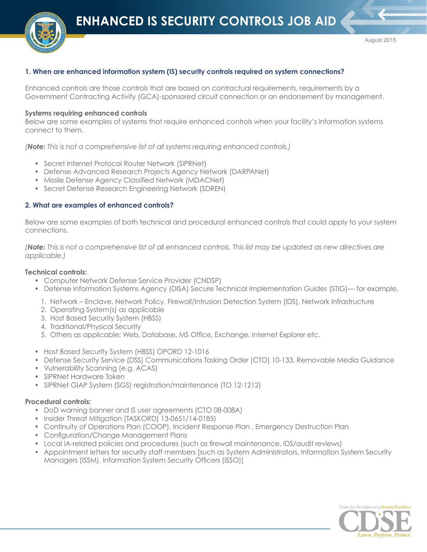

# **1. When are enhanced information system (IS) security controls required on system connections?**

Enhanced controls are those controls that are based on contractual requirements, requirements by a Government Contracting Activity (GCA)-sponsored circuit connection or an endorsement by management.

### **Systems requiring enhanced controls**

Below are some examples of systems that require enhanced controls when your facility's information systems connect to them.

*(Note: This is not a comprehensive list of all systems requiring enhanced controls.)*

- Secret Internet Protocol Router Network (SIPRNet)
- Defense Advanced Research Projects Agency Network (DARPANet)
- Missile Defense Agency Classified Network (MDACNet)
- Secret Defense Research Engineering Network (SDREN)

### **2. What are examples of enhanced controls?**

Below are some examples of both technical and procedural enhanced controls that could apply to your system connections.

*(Note: This is not a comprehensive list of all enhanced controls. This list may be updated as new directives are applicable.)*

### **Technical controls:**

- Computer Network Defense Service Provider (CNDSP)
- Defense Information Systems Agency (DISA) Secure Technical Implementation Guides (STIG)— for example,
	- 1. Network Enclave, Network Policy, Firewall/Intrusion Detection System (IDS), Network Infrastructure
	- 2. Operating System(s) as applicable
	- 3. Host Based Security System (HBSS)
	- 4. Traditional/Physical Security
	- 5. Others as applicable; Web, Database, MS Office, Exchange, Internet Explorer etc.
- Host Based Security System (HBSS) OPORD 12-1016
- Defense Security Service (DSS) Communications Tasking Order (CTO) 10-133, Removable Media Guidance
- Vulnerability Scanning (e.g. ACAS)
- SIPRNet Hardware Token
- SIPRNet GIAP System (SGS) registration/maintenance (TO 12-1212)

#### **Procedural controls:**

- DoD warning banner and IS user agreements (CTO 08-008A)
- Insider Threat Mitigation (TASKORD) 13-0651/14-0185)
- Continuity of Operations Plan (COOP), Incident Response Plan , Emergency Destruction Plan
- Configuration/Change Management Plans
- Local IA-related policies and procedures (such as firewall maintenance, IDS/audit reviews)
- Appointment letters for security staff members [such as System Administrators, Information System Security Managers (ISSM), Information System Security Officers (ISSO)]